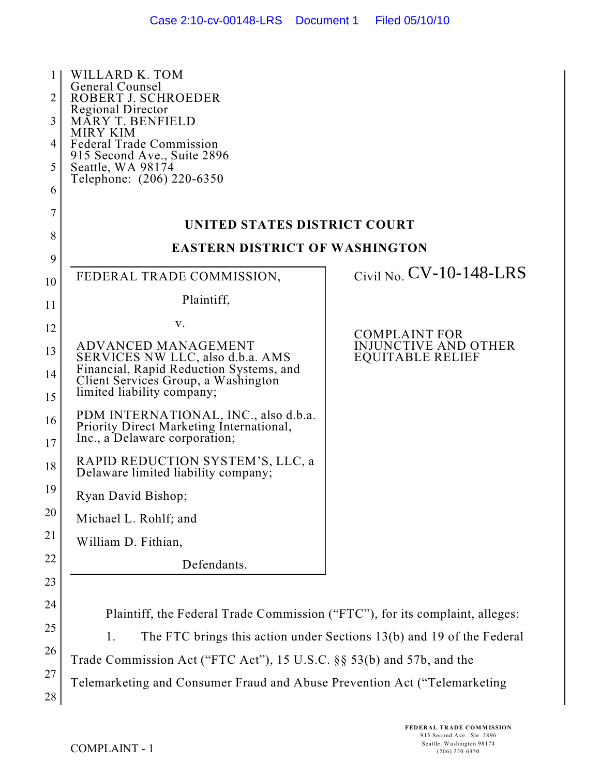| 1<br>2<br>3<br>4<br>5<br>6 | WILLARD K. TOM<br>General Counsel<br>ROBERT J. SCHROEDER<br><b>Regional Director</b><br><b>MARY T. BENFIELD</b><br><b>MIRY KIM</b><br><b>Federal Trade Commission</b><br>915 Second Ave., Suite 2896<br>Seattle, WA 98174<br>Telephone: (206) 220-6350 |                                                                       |  |
|----------------------------|--------------------------------------------------------------------------------------------------------------------------------------------------------------------------------------------------------------------------------------------------------|-----------------------------------------------------------------------|--|
| 7                          | UNITED STATES DISTRICT COURT                                                                                                                                                                                                                           |                                                                       |  |
| 8                          | <b>EASTERN DISTRICT OF WASHINGTON</b>                                                                                                                                                                                                                  |                                                                       |  |
| 9<br>10                    | FEDERAL TRADE COMMISSION,                                                                                                                                                                                                                              | Civil No. $CV-10-148-LRS$                                             |  |
| 11                         | Plaintiff,                                                                                                                                                                                                                                             |                                                                       |  |
| 12                         | V.                                                                                                                                                                                                                                                     | <b>COMPLAINT FOR</b>                                                  |  |
| 13<br>14<br>15             | ADVANCED MANAGEMENT<br>SERVICES NW LLC, also d.b.a. AMS<br>Financial, Rapid Reduction Systems, and<br>Client Services Group, a Washington<br>limited liability company;                                                                                | INJUNCTIVE AND OTHER<br><b>EQUITABLE RELIEF</b>                       |  |
| 16<br>17                   | PDM INTERNATIONAL, INC., also d.b.a.<br>Priority Direct Marketing International,<br>Inc., a Delaware corporation;                                                                                                                                      |                                                                       |  |
| 18                         | RAPID REDUCTION SYSTEM'S, LLC, a<br>Delaware limited liability company;                                                                                                                                                                                |                                                                       |  |
| 19                         | Ryan David Bishop;                                                                                                                                                                                                                                     |                                                                       |  |
| 20                         | Michael L. Rohlf; and                                                                                                                                                                                                                                  |                                                                       |  |
| 21                         | William D. Fithian,                                                                                                                                                                                                                                    |                                                                       |  |
| 22<br>23                   | Defendants.                                                                                                                                                                                                                                            |                                                                       |  |
| 24<br>25                   | Plaintiff, the Federal Trade Commission ("FTC"), for its complaint, alleges:                                                                                                                                                                           |                                                                       |  |
| 26                         | 1.                                                                                                                                                                                                                                                     | The FTC brings this action under Sections 13(b) and 19 of the Federal |  |
| 27<br>28                   | Trade Commission Act ("FTC Act"), 15 U.S.C. §§ 53(b) and 57b, and the<br>Telemarketing and Consumer Fraud and Abuse Prevention Act ("Telemarketing                                                                                                     |                                                                       |  |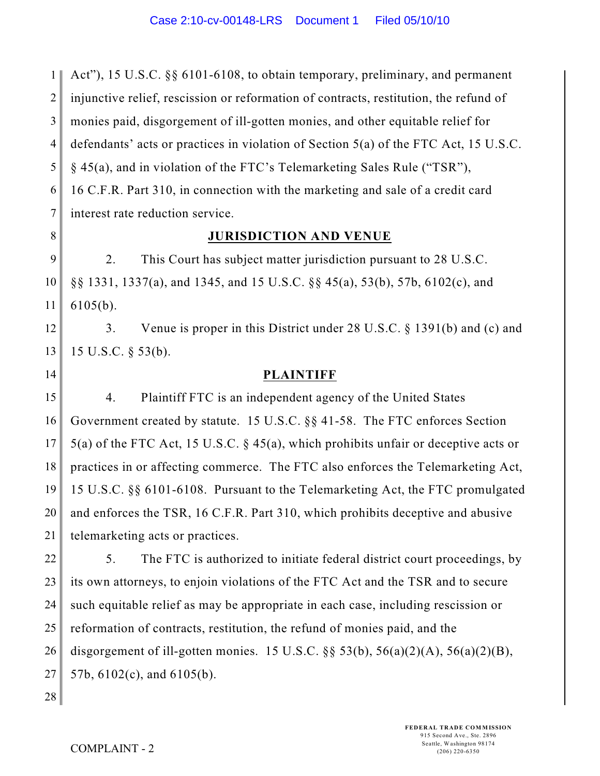1 2 3 4 5 6 7 Act"), 15 U.S.C. §§ 6101-6108, to obtain temporary, preliminary, and permanent injunctive relief, rescission or reformation of contracts, restitution, the refund of monies paid, disgorgement of ill-gotten monies, and other equitable relief for defendants' acts or practices in violation of Section 5(a) of the FTC Act, 15 U.S.C. § 45(a), and in violation of the FTC's Telemarketing Sales Rule ("TSR"), 16 C.F.R. Part 310, in connection with the marketing and sale of a credit card interest rate reduction service.

8

14

# **JURISDICTION AND VENUE**

9 10 11 2. This Court has subject matter jurisdiction pursuant to 28 U.S.C. §§ 1331, 1337(a), and 1345, and 15 U.S.C. §§ 45(a), 53(b), 57b, 6102(c), and 6105(b).

12 13 3. Venue is proper in this District under 28 U.S.C. § 1391(b) and (c) and 15 U.S.C. § 53(b).

**PLAINTIFF**

15 16 17 18 19 20 21 4. Plaintiff FTC is an independent agency of the United States Government created by statute. 15 U.S.C. §§ 41-58. The FTC enforces Section 5(a) of the FTC Act, 15 U.S.C. § 45(a), which prohibits unfair or deceptive acts or practices in or affecting commerce. The FTC also enforces the Telemarketing Act, 15 U.S.C. §§ 6101-6108. Pursuant to the Telemarketing Act, the FTC promulgated and enforces the TSR, 16 C.F.R. Part 310, which prohibits deceptive and abusive telemarketing acts or practices.

22 23 24 25 26 27 5. The FTC is authorized to initiate federal district court proceedings, by its own attorneys, to enjoin violations of the FTC Act and the TSR and to secure such equitable relief as may be appropriate in each case, including rescission or reformation of contracts, restitution, the refund of monies paid, and the disgorgement of ill-gotten monies. 15 U.S.C.  $\S$ § 53(b), 56(a)(2)(A), 56(a)(2)(B), 57b, 6102(c), and 6105(b).

28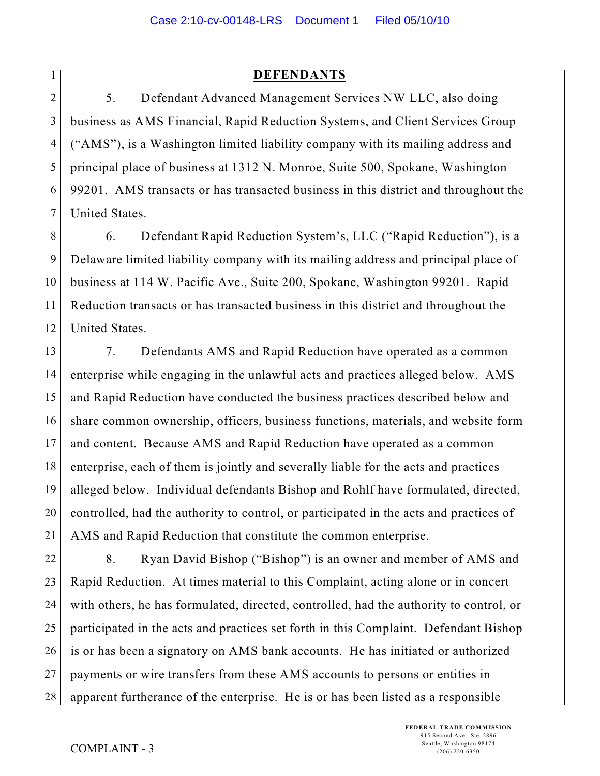**DEFENDANTS**

2 3 4 5 6 7 5. Defendant Advanced Management Services NW LLC, also doing business as AMS Financial, Rapid Reduction Systems, and Client Services Group ("AMS"), is a Washington limited liability company with its mailing address and principal place of business at 1312 N. Monroe, Suite 500, Spokane, Washington 99201. AMS transacts or has transacted business in this district and throughout the United States.

8 9 10 11 12 6. Defendant Rapid Reduction System's, LLC ("Rapid Reduction"), is a Delaware limited liability company with its mailing address and principal place of business at 114 W. Pacific Ave., Suite 200, Spokane, Washington 99201. Rapid Reduction transacts or has transacted business in this district and throughout the United States.

13 14 15 16 17 18 19 20 21 7. Defendants AMS and Rapid Reduction have operated as a common enterprise while engaging in the unlawful acts and practices alleged below. AMS and Rapid Reduction have conducted the business practices described below and share common ownership, officers, business functions, materials, and website form and content. Because AMS and Rapid Reduction have operated as a common enterprise, each of them is jointly and severally liable for the acts and practices alleged below. Individual defendants Bishop and Rohlf have formulated, directed, controlled, had the authority to control, or participated in the acts and practices of AMS and Rapid Reduction that constitute the common enterprise.

22 23 24 25 26 27 28 8. Ryan David Bishop ("Bishop") is an owner and member of AMS and Rapid Reduction. At times material to this Complaint, acting alone or in concert with others, he has formulated, directed, controlled, had the authority to control, or participated in the acts and practices set forth in this Complaint. Defendant Bishop is or has been a signatory on AMS bank accounts. He has initiated or authorized payments or wire transfers from these AMS accounts to persons or entities in apparent furtherance of the enterprise. He is or has been listed as a responsible

1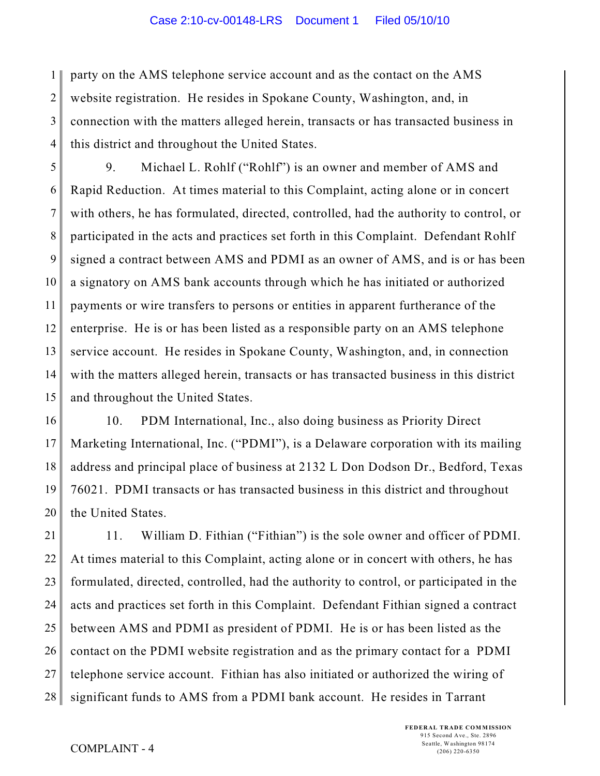1 2 3 4 party on the AMS telephone service account and as the contact on the AMS website registration. He resides in Spokane County, Washington, and, in connection with the matters alleged herein, transacts or has transacted business in this district and throughout the United States.

5 6 7 8 9 10 11 12 13 14 15 9. Michael L. Rohlf ("Rohlf") is an owner and member of AMS and Rapid Reduction. At times material to this Complaint, acting alone or in concert with others, he has formulated, directed, controlled, had the authority to control, or participated in the acts and practices set forth in this Complaint. Defendant Rohlf signed a contract between AMS and PDMI as an owner of AMS, and is or has been a signatory on AMS bank accounts through which he has initiated or authorized payments or wire transfers to persons or entities in apparent furtherance of the enterprise. He is or has been listed as a responsible party on an AMS telephone service account. He resides in Spokane County, Washington, and, in connection with the matters alleged herein, transacts or has transacted business in this district and throughout the United States.

16 17 18 19 20 10. PDM International, Inc., also doing business as Priority Direct Marketing International, Inc. ("PDMI"), is a Delaware corporation with its mailing address and principal place of business at 2132 L Don Dodson Dr., Bedford, Texas 76021. PDMI transacts or has transacted business in this district and throughout the United States.

21 22 23 24 25 26 27 28 11. William D. Fithian ("Fithian") is the sole owner and officer of PDMI. At times material to this Complaint, acting alone or in concert with others, he has formulated, directed, controlled, had the authority to control, or participated in the acts and practices set forth in this Complaint. Defendant Fithian signed a contract between AMS and PDMI as president of PDMI. He is or has been listed as the contact on the PDMI website registration and as the primary contact for a PDMI telephone service account. Fithian has also initiated or authorized the wiring of significant funds to AMS from a PDMI bank account. He resides in Tarrant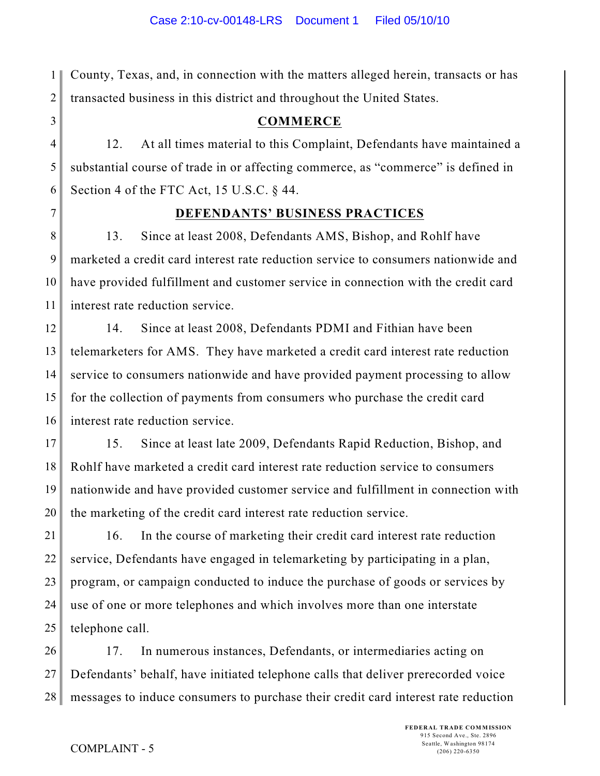1 2 County, Texas, and, in connection with the matters alleged herein, transacts or has transacted business in this district and throughout the United States.

# **COMMERCE**

4 5 6 12. At all times material to this Complaint, Defendants have maintained a substantial course of trade in or affecting commerce, as "commerce" is defined in Section 4 of the FTC Act, 15 U.S.C. § 44.

7

3

## **DEFENDANTS' BUSINESS PRACTICES**

8 9 10 11 13. Since at least 2008, Defendants AMS, Bishop, and Rohlf have marketed a credit card interest rate reduction service to consumers nationwide and have provided fulfillment and customer service in connection with the credit card interest rate reduction service.

12 13 14 15 16 14. Since at least 2008, Defendants PDMI and Fithian have been telemarketers for AMS. They have marketed a credit card interest rate reduction service to consumers nationwide and have provided payment processing to allow for the collection of payments from consumers who purchase the credit card interest rate reduction service.

17 18 19 20 15. Since at least late 2009, Defendants Rapid Reduction, Bishop, and Rohlf have marketed a credit card interest rate reduction service to consumers nationwide and have provided customer service and fulfillment in connection with the marketing of the credit card interest rate reduction service.

21 22 23 24 25 16. In the course of marketing their credit card interest rate reduction service, Defendants have engaged in telemarketing by participating in a plan, program, or campaign conducted to induce the purchase of goods or services by use of one or more telephones and which involves more than one interstate telephone call.

26 27 28 17. In numerous instances, Defendants, or intermediaries acting on Defendants' behalf, have initiated telephone calls that deliver prerecorded voice messages to induce consumers to purchase their credit card interest rate reduction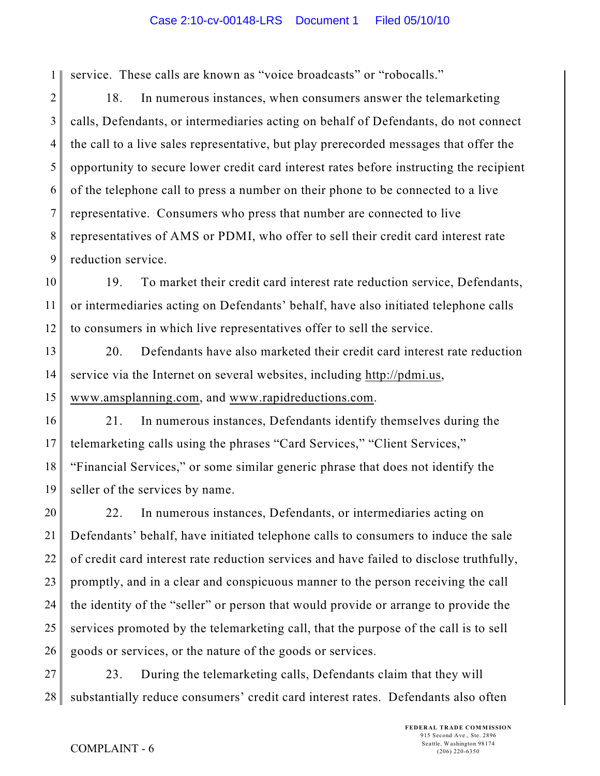1 service. These calls are known as "voice broadcasts" or "robocalls."

2 3 4 5 6 7 8 9 18. In numerous instances, when consumers answer the telemarketing calls, Defendants, or intermediaries acting on behalf of Defendants, do not connect the call to a live sales representative, but play prerecorded messages that offer the opportunity to secure lower credit card interest rates before instructing the recipient of the telephone call to press a number on their phone to be connected to a live representative. Consumers who press that number are connected to live representatives of AMS or PDMI, who offer to sell their credit card interest rate reduction service.

10 11 12 19. To market their credit card interest rate reduction service, Defendants, or intermediaries acting on Defendants' behalf, have also initiated telephone calls to consumers in which live representatives offer to sell the service.

13 14 15 20. Defendants have also marketed their credit card interest rate reduction service via the Internet on several websites, including http://pdmi.us, www.amsplanning.com, and www.rapidreductions.com.

16 17 18 19 21. In numerous instances, Defendants identify themselves during the telemarketing calls using the phrases "Card Services," "Client Services," "Financial Services," or some similar generic phrase that does not identify the seller of the services by name.

20 21 22 23 24 25 26 22. In numerous instances, Defendants, or intermediaries acting on Defendants' behalf, have initiated telephone calls to consumers to induce the sale of credit card interest rate reduction services and have failed to disclose truthfully, promptly, and in a clear and conspicuous manner to the person receiving the call the identity of the "seller" or person that would provide or arrange to provide the services promoted by the telemarketing call, that the purpose of the call is to sell goods or services, or the nature of the goods or services.

27 28 23. During the telemarketing calls, Defendants claim that they will substantially reduce consumers' credit card interest rates. Defendants also often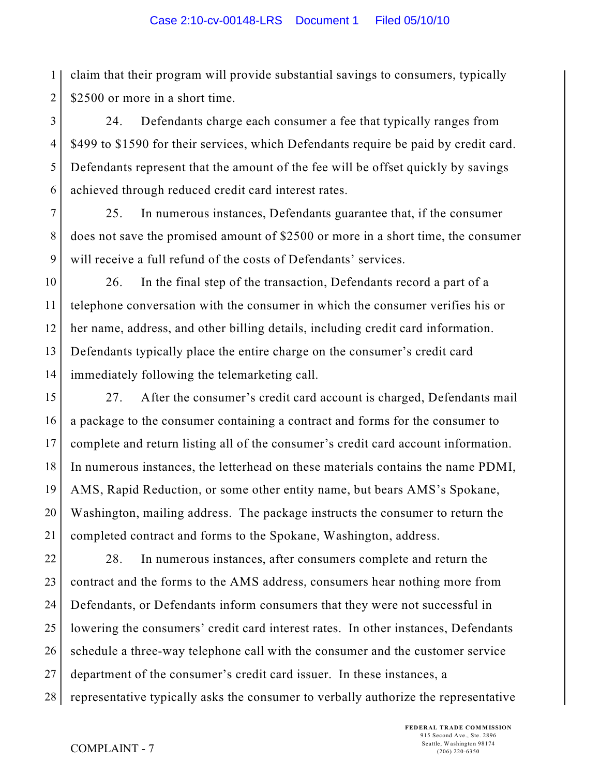1 2 claim that their program will provide substantial savings to consumers, typically \$2500 or more in a short time.

3 4 5 6 24. Defendants charge each consumer a fee that typically ranges from \$499 to \$1590 for their services, which Defendants require be paid by credit card. Defendants represent that the amount of the fee will be offset quickly by savings achieved through reduced credit card interest rates.

7 8 9 25. In numerous instances, Defendants guarantee that, if the consumer does not save the promised amount of \$2500 or more in a short time, the consumer will receive a full refund of the costs of Defendants' services.

10 11 12 13 14 26. In the final step of the transaction, Defendants record a part of a telephone conversation with the consumer in which the consumer verifies his or her name, address, and other billing details, including credit card information. Defendants typically place the entire charge on the consumer's credit card immediately following the telemarketing call.

15 16 17 18 19 20 21 27. After the consumer's credit card account is charged, Defendants mail a package to the consumer containing a contract and forms for the consumer to complete and return listing all of the consumer's credit card account information. In numerous instances, the letterhead on these materials contains the name PDMI, AMS, Rapid Reduction, or some other entity name, but bears AMS's Spokane, Washington, mailing address. The package instructs the consumer to return the completed contract and forms to the Spokane, Washington, address.

22 23 24 25 26 27 28 28. In numerous instances, after consumers complete and return the contract and the forms to the AMS address, consumers hear nothing more from Defendants, or Defendants inform consumers that they were not successful in lowering the consumers' credit card interest rates. In other instances, Defendants schedule a three-way telephone call with the consumer and the customer service department of the consumer's credit card issuer. In these instances, a representative typically asks the consumer to verbally authorize the representative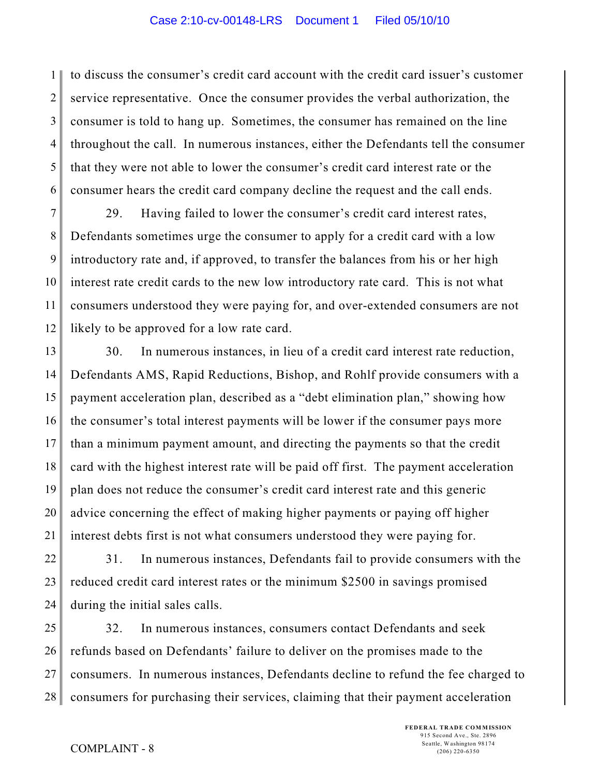1 2 3 4 5 6 to discuss the consumer's credit card account with the credit card issuer's customer service representative. Once the consumer provides the verbal authorization, the consumer is told to hang up. Sometimes, the consumer has remained on the line throughout the call. In numerous instances, either the Defendants tell the consumer that they were not able to lower the consumer's credit card interest rate or the consumer hears the credit card company decline the request and the call ends.

7 8 9 10 11 12 29. Having failed to lower the consumer's credit card interest rates, Defendants sometimes urge the consumer to apply for a credit card with a low introductory rate and, if approved, to transfer the balances from his or her high interest rate credit cards to the new low introductory rate card. This is not what consumers understood they were paying for, and over-extended consumers are not likely to be approved for a low rate card.

13 14 15 16 17 18 19 20 21 30. In numerous instances, in lieu of a credit card interest rate reduction, Defendants AMS, Rapid Reductions, Bishop, and Rohlf provide consumers with a payment acceleration plan, described as a "debt elimination plan," showing how the consumer's total interest payments will be lower if the consumer pays more than a minimum payment amount, and directing the payments so that the credit card with the highest interest rate will be paid off first. The payment acceleration plan does not reduce the consumer's credit card interest rate and this generic advice concerning the effect of making higher payments or paying off higher interest debts first is not what consumers understood they were paying for.

22 23 24 31. In numerous instances, Defendants fail to provide consumers with the reduced credit card interest rates or the minimum \$2500 in savings promised during the initial sales calls.

25 26 27 28 32. In numerous instances, consumers contact Defendants and seek refunds based on Defendants' failure to deliver on the promises made to the consumers. In numerous instances, Defendants decline to refund the fee charged to consumers for purchasing their services, claiming that their payment acceleration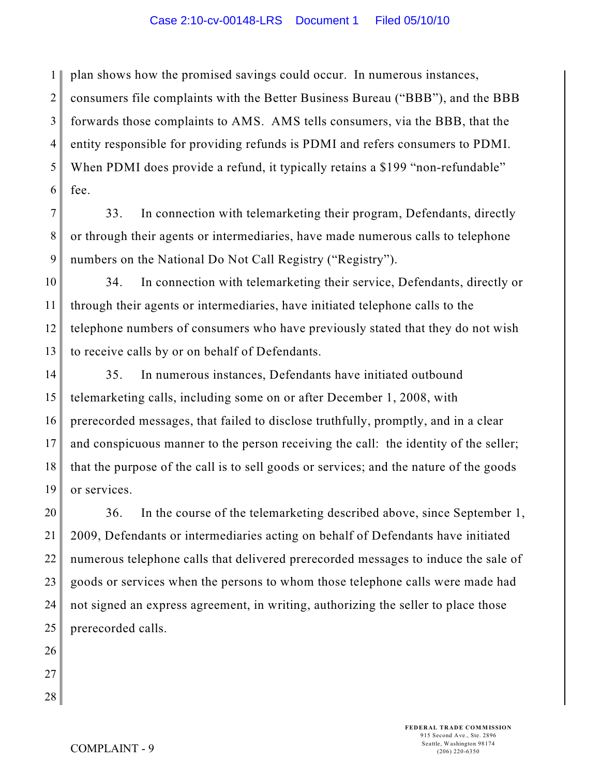1 2 3 4 5 6 plan shows how the promised savings could occur. In numerous instances, consumers file complaints with the Better Business Bureau ("BBB"), and the BBB forwards those complaints to AMS. AMS tells consumers, via the BBB, that the entity responsible for providing refunds is PDMI and refers consumers to PDMI. When PDMI does provide a refund, it typically retains a \$199 "non-refundable" fee.

7 8 9 33. In connection with telemarketing their program, Defendants, directly or through their agents or intermediaries, have made numerous calls to telephone numbers on the National Do Not Call Registry ("Registry").

10 11 12 13 34. In connection with telemarketing their service, Defendants, directly or through their agents or intermediaries, have initiated telephone calls to the telephone numbers of consumers who have previously stated that they do not wish to receive calls by or on behalf of Defendants.

14 15 16 17 18 19 35. In numerous instances, Defendants have initiated outbound telemarketing calls, including some on or after December 1, 2008, with prerecorded messages, that failed to disclose truthfully, promptly, and in a clear and conspicuous manner to the person receiving the call: the identity of the seller; that the purpose of the call is to sell goods or services; and the nature of the goods or services.

20 21 22 23 24 25 36. In the course of the telemarketing described above, since September 1, 2009, Defendants or intermediaries acting on behalf of Defendants have initiated numerous telephone calls that delivered prerecorded messages to induce the sale of goods or services when the persons to whom those telephone calls were made had not signed an express agreement, in writing, authorizing the seller to place those prerecorded calls.

- 26 27
- 28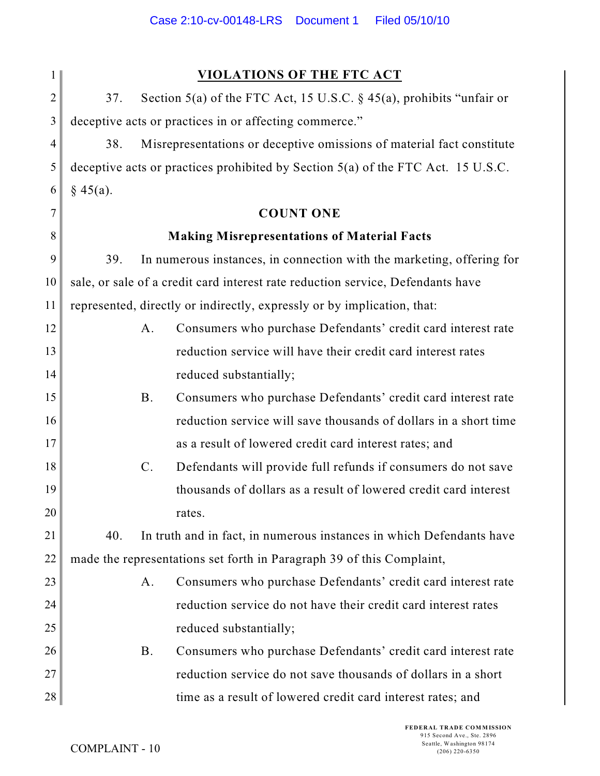| 1              | <b>VIOLATIONS OF THE FTC ACT</b>                                                   |  |  |
|----------------|------------------------------------------------------------------------------------|--|--|
| $\overline{2}$ | Section 5(a) of the FTC Act, 15 U.S.C. $\S$ 45(a), prohibits "unfair or<br>37.     |  |  |
| 3              | deceptive acts or practices in or affecting commerce."                             |  |  |
| 4              | Misrepresentations or deceptive omissions of material fact constitute<br>38.       |  |  |
| 5              | deceptive acts or practices prohibited by Section $5(a)$ of the FTC Act. 15 U.S.C. |  |  |
| 6              | § 45(a).                                                                           |  |  |
| 7              | <b>COUNT ONE</b>                                                                   |  |  |
| 8              | <b>Making Misrepresentations of Material Facts</b>                                 |  |  |
| 9              | In numerous instances, in connection with the marketing, offering for<br>39.       |  |  |
| 10             | sale, or sale of a credit card interest rate reduction service, Defendants have    |  |  |
| 11             | represented, directly or indirectly, expressly or by implication, that:            |  |  |
| 12             | Consumers who purchase Defendants' credit card interest rate<br>A.                 |  |  |
| 13             | reduction service will have their credit card interest rates                       |  |  |
| 14             | reduced substantially;                                                             |  |  |
| 15             | Consumers who purchase Defendants' credit card interest rate<br><b>B.</b>          |  |  |
| 16             | reduction service will save thousands of dollars in a short time                   |  |  |
| 17             | as a result of lowered credit card interest rates; and                             |  |  |
| 18             | Defendants will provide full refunds if consumers do not save<br>$\mathbf{C}$ .    |  |  |
| 19             | thousands of dollars as a result of lowered credit card interest                   |  |  |
| 20             | rates.                                                                             |  |  |
| 21             | 40.<br>In truth and in fact, in numerous instances in which Defendants have        |  |  |
| 22             | made the representations set forth in Paragraph 39 of this Complaint,              |  |  |
| 23             | Consumers who purchase Defendants' credit card interest rate<br>A.                 |  |  |
| 24             | reduction service do not have their credit card interest rates                     |  |  |
| 25             | reduced substantially;                                                             |  |  |
| 26             | Consumers who purchase Defendants' credit card interest rate<br><b>B.</b>          |  |  |
| 27             | reduction service do not save thousands of dollars in a short                      |  |  |
| 28             | time as a result of lowered credit card interest rates; and                        |  |  |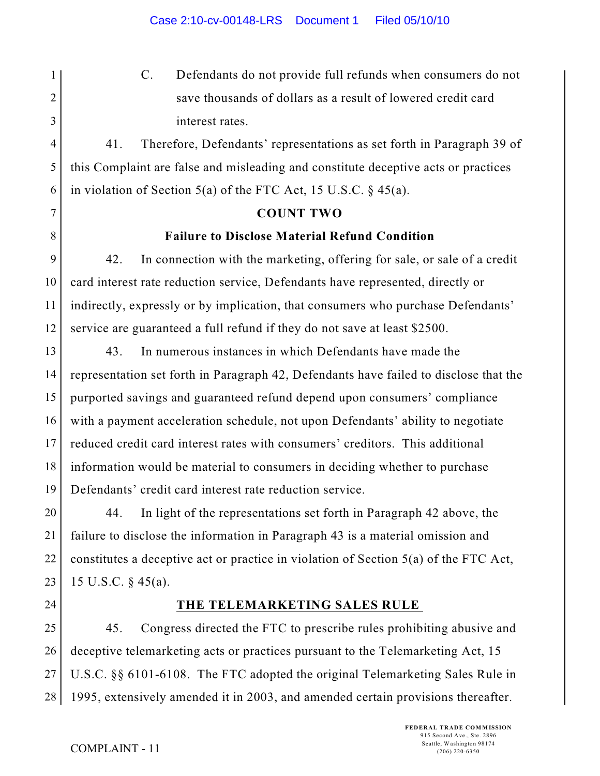C. Defendants do not provide full refunds when consumers do not save thousands of dollars as a result of lowered credit card interest rates.

5 6 41. Therefore, Defendants' representations as set forth in Paragraph 39 of this Complaint are false and misleading and constitute deceptive acts or practices in violation of Section 5(a) of the FTC Act, 15 U.S.C. § 45(a).

## **COUNT TWO**

## **Failure to Disclose Material Refund Condition**

9 10 11 12 42. In connection with the marketing, offering for sale, or sale of a credit card interest rate reduction service, Defendants have represented, directly or indirectly, expressly or by implication, that consumers who purchase Defendants' service are guaranteed a full refund if they do not save at least \$2500.

13 14 15 16 17 18 19 43. In numerous instances in which Defendants have made the representation set forth in Paragraph 42, Defendants have failed to disclose that the purported savings and guaranteed refund depend upon consumers' compliance with a payment acceleration schedule, not upon Defendants' ability to negotiate reduced credit card interest rates with consumers' creditors. This additional information would be material to consumers in deciding whether to purchase Defendants' credit card interest rate reduction service.

20 21 22 23 44. In light of the representations set forth in Paragraph 42 above, the failure to disclose the information in Paragraph 43 is a material omission and constitutes a deceptive act or practice in violation of Section 5(a) of the FTC Act, 15 U.S.C. § 45(a).

24

1

2

3

4

7

8

## **THE TELEMARKETING SALES RULE**

25 26 27 28 45. Congress directed the FTC to prescribe rules prohibiting abusive and deceptive telemarketing acts or practices pursuant to the Telemarketing Act, 15 U.S.C. §§ 6101-6108. The FTC adopted the original Telemarketing Sales Rule in 1995, extensively amended it in 2003, and amended certain provisions thereafter.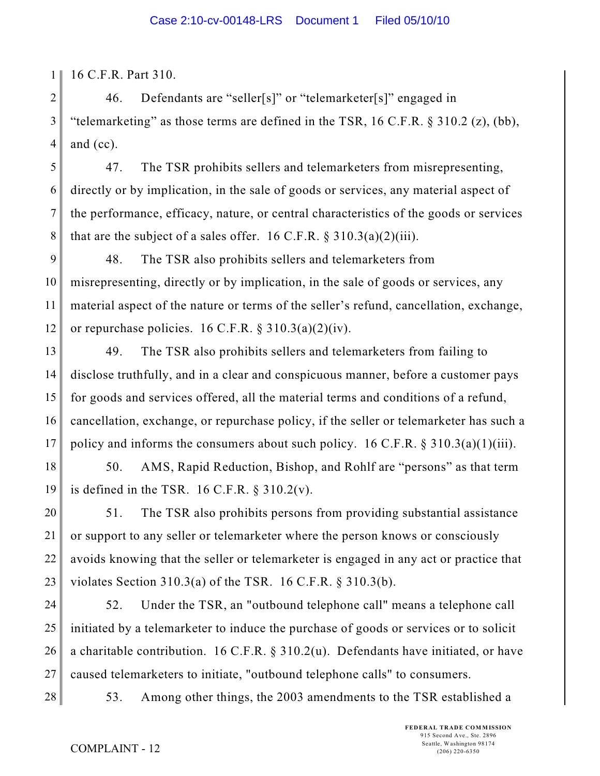1 16 C.F.R. Part 310.

2 3 4 46. Defendants are "seller[s]" or "telemarketer[s]" engaged in "telemarketing" as those terms are defined in the TSR,  $16$  C.F.R. § 310.2 (z), (bb), and (cc).

5 6 7 8 47. The TSR prohibits sellers and telemarketers from misrepresenting, directly or by implication, in the sale of goods or services, any material aspect of the performance, efficacy, nature, or central characteristics of the goods or services that are the subject of a sales offer. 16 C.F.R.  $\S 310.3(a)(2)(iii)$ .

9 10 11 12 48. The TSR also prohibits sellers and telemarketers from misrepresenting, directly or by implication, in the sale of goods or services, any material aspect of the nature or terms of the seller's refund, cancellation, exchange, or repurchase policies.  $16$  C.F.R. §  $310.3(a)(2)(iv)$ .

13 14 15 16 17 49. The TSR also prohibits sellers and telemarketers from failing to disclose truthfully, and in a clear and conspicuous manner, before a customer pays for goods and services offered, all the material terms and conditions of a refund, cancellation, exchange, or repurchase policy, if the seller or telemarketer has such a policy and informs the consumers about such policy. 16 C.F.R.  $\S 310.3(a)(1)(iii)$ .

18 19 50. AMS, Rapid Reduction, Bishop, and Rohlf are "persons" as that term is defined in the TSR. 16 C.F.R.  $\S 310.2(v)$ .

20 21 22 23 51. The TSR also prohibits persons from providing substantial assistance or support to any seller or telemarketer where the person knows or consciously avoids knowing that the seller or telemarketer is engaged in any act or practice that violates Section 310.3(a) of the TSR. 16 C.F.R. § 310.3(b).

24 25 26 27 52. Under the TSR, an "outbound telephone call" means a telephone call initiated by a telemarketer to induce the purchase of goods or services or to solicit a charitable contribution. 16 C.F.R. § 310.2(u). Defendants have initiated, or have caused telemarketers to initiate, "outbound telephone calls" to consumers.

28 53. Among other things, the 2003 amendments to the TSR established a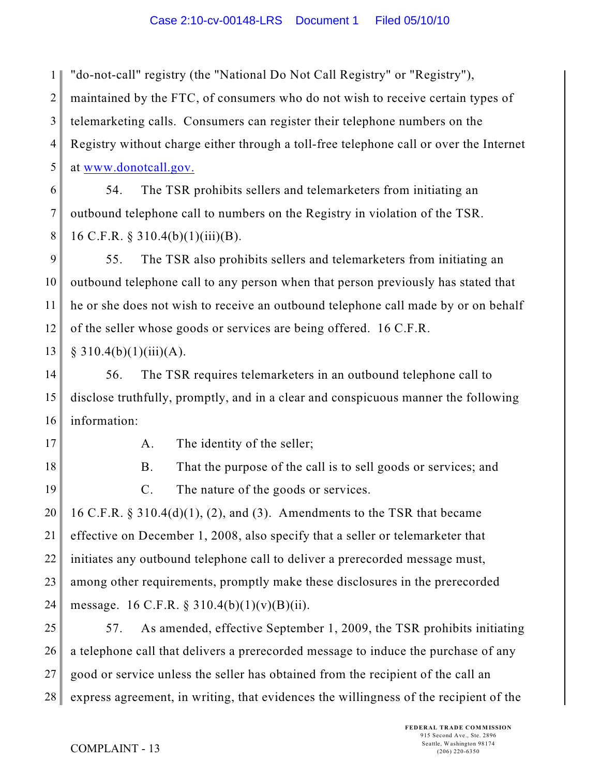1 "do-not-call" registry (the "National Do Not Call Registry" or "Registry"),

2 maintained by the FTC, of consumers who do not wish to receive certain types of

3 4 5 telemarketing calls. Consumers can register their telephone numbers on the Registry without charge either through a toll-free telephone call or over the Internet at [www.donotcall.gov.](http://www.donotcall.gov.)

6 7 8 54. The TSR prohibits sellers and telemarketers from initiating an outbound telephone call to numbers on the Registry in violation of the TSR. 16 C.F.R. § 310.4(b)(1)(iii)(B).

9 10 11 12 55. The TSR also prohibits sellers and telemarketers from initiating an outbound telephone call to any person when that person previously has stated that he or she does not wish to receive an outbound telephone call made by or on behalf of the seller whose goods or services are being offered. 16 C.F.R.

13  $§ 310.4(b)(1)(iii)(A).$ 

14 15 16 56. The TSR requires telemarketers in an outbound telephone call to disclose truthfully, promptly, and in a clear and conspicuous manner the following information:

17

A. The identity of the seller;

18

19

B. That the purpose of the call is to sell goods or services; and C. The nature of the goods or services.

20 21 22 23 24 16 C.F.R. § 310.4(d)(1), (2), and (3). Amendments to the TSR that became effective on December 1, 2008, also specify that a seller or telemarketer that initiates any outbound telephone call to deliver a prerecorded message must, among other requirements, promptly make these disclosures in the prerecorded message. 16 C.F.R. § 310.4(b)(1)(v)(B)(ii).

25 26 27 28 57. As amended, effective September 1, 2009, the TSR prohibits initiating a telephone call that delivers a prerecorded message to induce the purchase of any good or service unless the seller has obtained from the recipient of the call an express agreement, in writing, that evidences the willingness of the recipient of the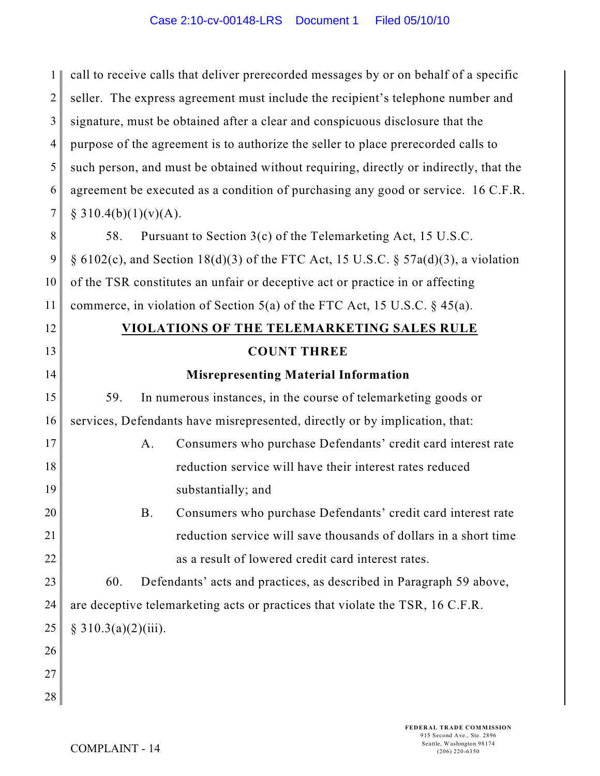1 2 3 4 5 6 7 8 9 10 11 12 13 14 15 16 17 18 19 20 21 22 23 24 25 26 27 28 call to receive calls that deliver prerecorded messages by or on behalf of a specific seller. The express agreement must include the recipient's telephone number and signature, must be obtained after a clear and conspicuous disclosure that the purpose of the agreement is to authorize the seller to place prerecorded calls to such person, and must be obtained without requiring, directly or indirectly, that the agreement be executed as a condition of purchasing any good or service. 16 C.F.R.  $§ 310.4(b)(1)(v)(A).$ 58. Pursuant to Section 3(c) of the Telemarketing Act, 15 U.S.C.  $\S 6102(c)$ , and Section 18(d)(3) of the FTC Act, 15 U.S.C.  $\S 57a(d)(3)$ , a violation of the TSR constitutes an unfair or deceptive act or practice in or affecting commerce, in violation of Section 5(a) of the FTC Act, 15 U.S.C.  $\S$  45(a). **VIOLATIONS OF THE TELEMARKETING SALES RULE COUNT THREE Misrepresenting Material Information** 59. In numerous instances, in the course of telemarketing goods or services, Defendants have misrepresented, directly or by implication, that: A. Consumers who purchase Defendants' credit card interest rate reduction service will have their interest rates reduced substantially; and B. Consumers who purchase Defendants' credit card interest rate reduction service will save thousands of dollars in a short time as a result of lowered credit card interest rates. 60. Defendants' acts and practices, as described in Paragraph 59 above, are deceptive telemarketing acts or practices that violate the TSR, 16 C.F.R.  $§ 310.3(a)(2)(iii).$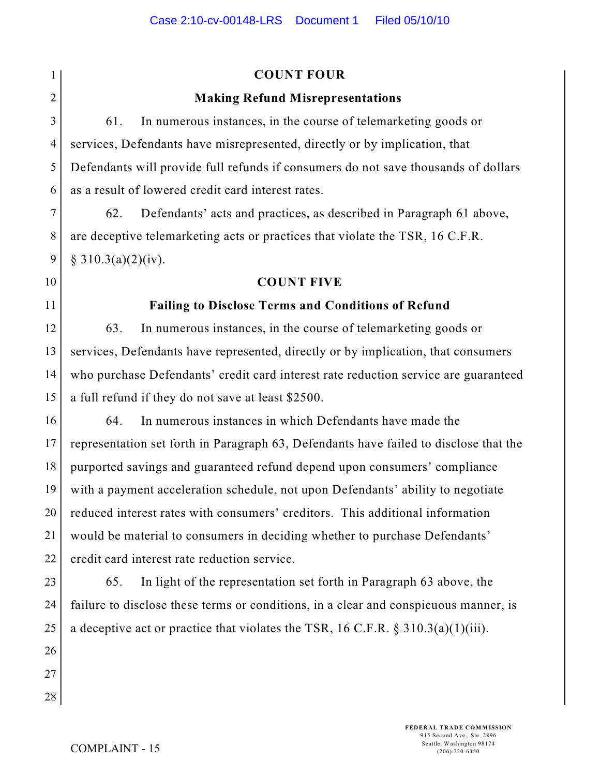|                | <b>COUNT FOUR</b>                                                                     |  |
|----------------|---------------------------------------------------------------------------------------|--|
| $\overline{2}$ | <b>Making Refund Misrepresentations</b>                                               |  |
| 3              | In numerous instances, in the course of telemarketing goods or<br>61.                 |  |
| $\overline{4}$ | services, Defendants have misrepresented, directly or by implication, that            |  |
| 5              | Defendants will provide full refunds if consumers do not save thousands of dollars    |  |
| 6              | as a result of lowered credit card interest rates.                                    |  |
| 7              | Defendants' acts and practices, as described in Paragraph 61 above,<br>62.            |  |
| 8              | are deceptive telemarketing acts or practices that violate the TSR, 16 C.F.R.         |  |
| 9              | § 310.3(a)(2)(iv).                                                                    |  |
| 10             | <b>COUNT FIVE</b>                                                                     |  |
| 11             | <b>Failing to Disclose Terms and Conditions of Refund</b>                             |  |
| 12             | In numerous instances, in the course of telemarketing goods or<br>63.                 |  |
| 13             | services, Defendants have represented, directly or by implication, that consumers     |  |
| 14             | who purchase Defendants' credit card interest rate reduction service are guaranteed   |  |
| 15             | a full refund if they do not save at least \$2500.                                    |  |
| 16             | In numerous instances in which Defendants have made the<br>64.                        |  |
| 17             | representation set forth in Paragraph 63, Defendants have failed to disclose that the |  |
| 18             | purported savings and guaranteed refund depend upon consumers' compliance             |  |
| 19             | with a payment acceleration schedule, not upon Defendants' ability to negotiate       |  |
| 20             | reduced interest rates with consumers' creditors. This additional information         |  |
| 21             | would be material to consumers in deciding whether to purchase Defendants'            |  |
| 22             | credit card interest rate reduction service.                                          |  |
| 23             | In light of the representation set forth in Paragraph 63 above, the<br>65.            |  |
| 24             | failure to disclose these terms or conditions, in a clear and conspicuous manner, is  |  |
| 25             | a deceptive act or practice that violates the TSR, 16 C.F.R. $\S 310.3(a)(1)(iii)$ .  |  |
| 26             |                                                                                       |  |
| 27             |                                                                                       |  |
| 28             |                                                                                       |  |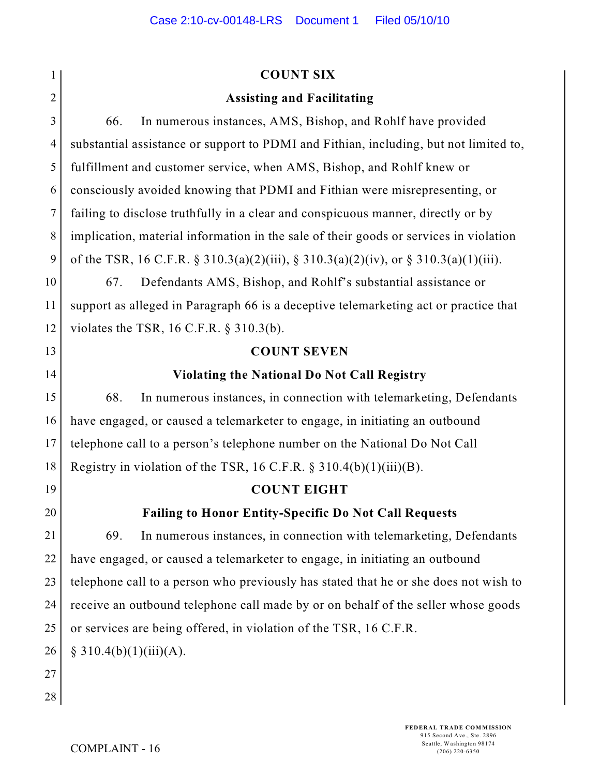|                | <b>COUNT SIX</b>                                                                      |  |  |
|----------------|---------------------------------------------------------------------------------------|--|--|
| $\overline{2}$ | <b>Assisting and Facilitating</b>                                                     |  |  |
| 3              | In numerous instances, AMS, Bishop, and Rohlf have provided<br>66.                    |  |  |
| $\overline{4}$ | substantial assistance or support to PDMI and Fithian, including, but not limited to, |  |  |
| 5              | fulfillment and customer service, when AMS, Bishop, and Rohlf knew or                 |  |  |
| 6              | consciously avoided knowing that PDMI and Fithian were misrepresenting, or            |  |  |
| $\tau$         | failing to disclose truthfully in a clear and conspicuous manner, directly or by      |  |  |
| $8\,$          | implication, material information in the sale of their goods or services in violation |  |  |
| 9              | of the TSR, 16 C.F.R. § 310.3(a)(2)(iii), § 310.3(a)(2)(iv), or § 310.3(a)(1)(iii).   |  |  |
| 10             | Defendants AMS, Bishop, and Rohlf's substantial assistance or<br>67.                  |  |  |
| 11             | support as alleged in Paragraph 66 is a deceptive telemarketing act or practice that  |  |  |
| 12             | violates the TSR, $16$ C.F.R. § 310.3(b).                                             |  |  |
| 13             | <b>COUNT SEVEN</b>                                                                    |  |  |
| 14             | <b>Violating the National Do Not Call Registry</b>                                    |  |  |
| 15             | 68.<br>In numerous instances, in connection with telemarketing, Defendants            |  |  |
| 16             | have engaged, or caused a telemarketer to engage, in initiating an outbound           |  |  |
| 17             | telephone call to a person's telephone number on the National Do Not Call             |  |  |
| 18             | Registry in violation of the TSR, 16 C.F.R. $\S 310.4(b)(1)(iii)(B)$ .                |  |  |
| 19             | <b>COUNT EIGHT</b>                                                                    |  |  |
| 20             | <b>Failing to Honor Entity-Specific Do Not Call Requests</b>                          |  |  |
| 21             | In numerous instances, in connection with telemarketing, Defendants<br>69.            |  |  |
| 22             | have engaged, or caused a telemarketer to engage, in initiating an outbound           |  |  |
| 23             | telephone call to a person who previously has stated that he or she does not wish to  |  |  |
| 24             | receive an outbound telephone call made by or on behalf of the seller whose goods     |  |  |
| 25             | or services are being offered, in violation of the TSR, 16 C.F.R.                     |  |  |
| 26             | § 310.4(b)(1)(iii)(A).                                                                |  |  |
| 27             |                                                                                       |  |  |
| 28             |                                                                                       |  |  |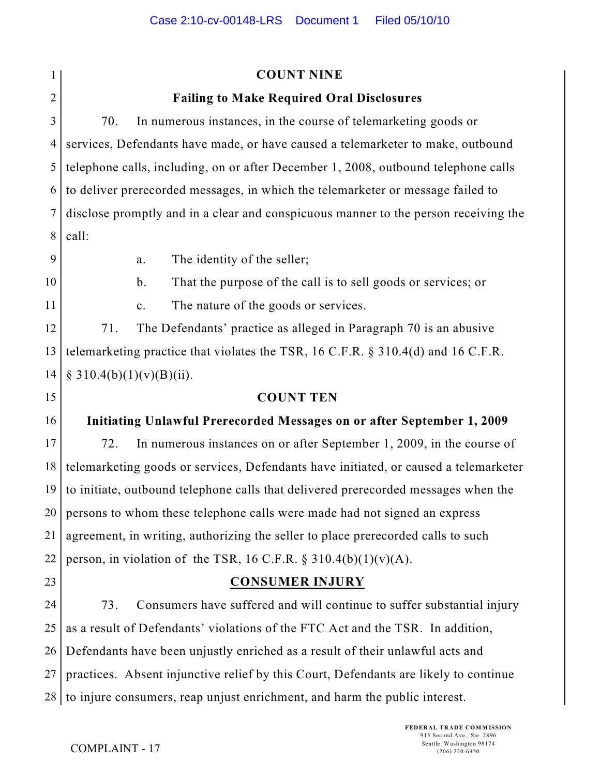1 2 3 4 5 6 7 8 9 10 11 12 13 14 15 16 17 18 19 20 21 22 23 24 25 26 27 28 **COUNT NINE Failing to Make Required Oral Disclosures** 70. In numerous instances, in the course of telemarketing goods or services, Defendants have made, or have caused a telemarketer to make, outbound telephone calls, including, on or after December 1, 2008, outbound telephone calls to deliver prerecorded messages, in which the telemarketer or message failed to disclose promptly and in a clear and conspicuous manner to the person receiving the call: a. The identity of the seller; b. That the purpose of the call is to sell goods or services; or c. The nature of the goods or services. 71. The Defendants' practice as alleged in Paragraph 70 is an abusive telemarketing practice that violates the TSR, 16 C.F.R. § 310.4(d) and 16 C.F.R.  $§ 310.4(b)(1)(v)(B)(ii).$ **COUNT TEN Initiating Unlawful Prerecorded Messages on or after September 1, 2009** 72. In numerous instances on or after September 1, 2009, in the course of telemarketing goods or services, Defendants have initiated, or caused a telemarketer to initiate, outbound telephone calls that delivered prerecorded messages when the persons to whom these telephone calls were made had not signed an express agreement, in writing, authorizing the seller to place prerecorded calls to such person, in violation of the TSR, 16 C.F.R.  $\S$  310.4(b)(1)(v)(A). **CONSUMER INJURY** 73. Consumers have suffered and will continue to suffer substantial injury as a result of Defendants' violations of the FTC Act and the TSR. In addition, Defendants have been unjustly enriched as a result of their unlawful acts and practices. Absent injunctive relief by this Court, Defendants are likely to continue to injure consumers, reap unjust enrichment, and harm the public interest.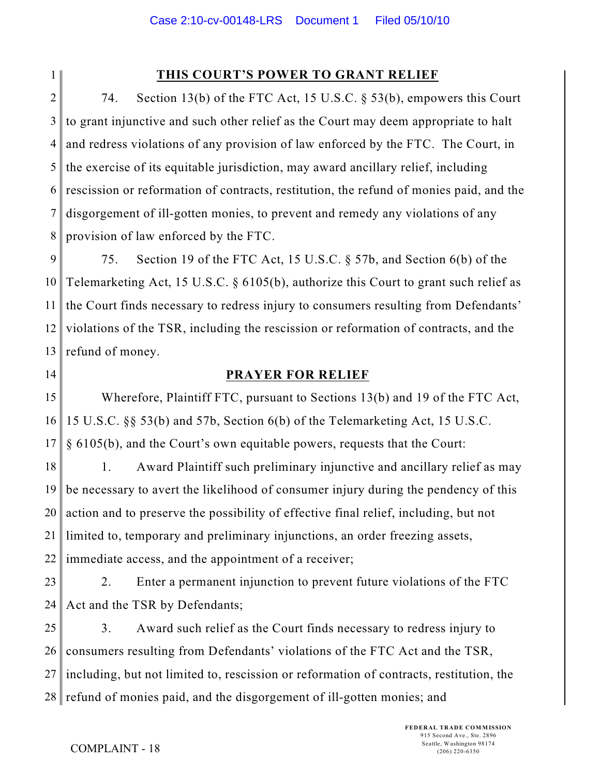1

# **THIS COURT'S POWER TO GRANT RELIEF**

2 3 4 5 6 7 8 74. Section 13(b) of the FTC Act, 15 U.S.C. § 53(b), empowers this Court to grant injunctive and such other relief as the Court may deem appropriate to halt and redress violations of any provision of law enforced by the FTC. The Court, in the exercise of its equitable jurisdiction, may award ancillary relief, including rescission or reformation of contracts, restitution, the refund of monies paid, and the disgorgement of ill-gotten monies, to prevent and remedy any violations of any provision of law enforced by the FTC.

9 10 11 12 13 75. Section 19 of the FTC Act, 15 U.S.C. § 57b, and Section 6(b) of the Telemarketing Act, 15 U.S.C. § 6105(b), authorize this Court to grant such relief as the Court finds necessary to redress injury to consumers resulting from Defendants' violations of the TSR, including the rescission or reformation of contracts, and the refund of money.

14

## **PRAYER FOR RELIEF**

15 16 17 Wherefore, Plaintiff FTC, pursuant to Sections 13(b) and 19 of the FTC Act, 15 U.S.C. §§ 53(b) and 57b, Section 6(b) of the Telemarketing Act, 15 U.S.C. § 6105(b), and the Court's own equitable powers, requests that the Court:

18 19 20 21 22 1. Award Plaintiff such preliminary injunctive and ancillary relief as may be necessary to avert the likelihood of consumer injury during the pendency of this action and to preserve the possibility of effective final relief, including, but not limited to, temporary and preliminary injunctions, an order freezing assets, immediate access, and the appointment of a receiver;

23 24 2. Enter a permanent injunction to prevent future violations of the FTC Act and the TSR by Defendants;

25 26 27 28 refund of monies paid, and the disgorgement of ill-gotten monies; and 3. Award such relief as the Court finds necessary to redress injury to consumers resulting from Defendants' violations of the FTC Act and the TSR, including, but not limited to, rescission or reformation of contracts, restitution, the